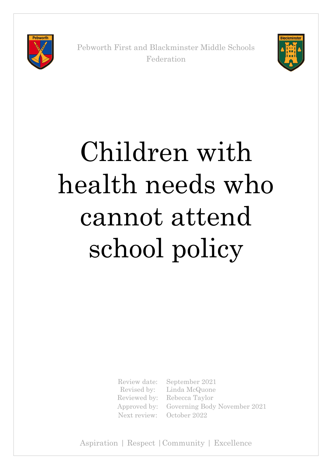

Pebworth First and Blackminster Middle Schools Federation



# Children with health needs who cannot attend school policy

Review date: Revised by:

September 2021 Linda McQuone Reviewed by: Rebecca Taylor Approved by: Governing Body November 2021 Next review: October 2022

Aspiration | Respect |Community | Excellence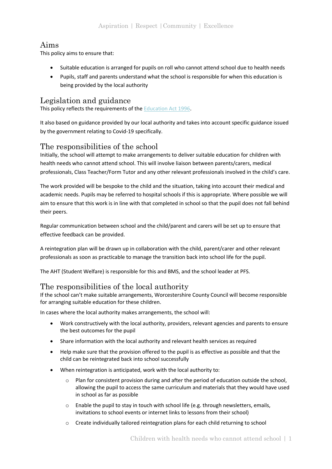# Aims

This policy aims to ensure that:

- Suitable education is arranged for pupils on roll who cannot attend school due to health needs
- Pupils, staff and parents understand what the school is responsible for when this education is being provided by the local authority

# Legislation and guidance

This policy reflects the requirements of the [Education Act 1996.](http://www.legislation.gov.uk/ukpga/1996/56/section/19)

It also based on guidance provided by our local authority and takes into account specific guidance issued by the government relating to Covid-19 specifically.

## The responsibilities of the school

Initially, the school will attempt to make arrangements to deliver suitable education for children with health needs who cannot attend school. This will involve liaison between parents/carers, medical professionals, Class Teacher/Form Tutor and any other relevant professionals involved in the child's care.

The work provided will be bespoke to the child and the situation, taking into account their medical and academic needs. Pupils may be referred to hospital schools if this is appropriate. Where possible we will aim to ensure that this work is in line with that completed in school so that the pupil does not fall behind their peers.

Regular communication between school and the child/parent and carers will be set up to ensure that effective feedback can be provided.

A reintegration plan will be drawn up in collaboration with the child, parent/carer and other relevant professionals as soon as practicable to manage the transition back into school life for the pupil.

The AHT (Student Welfare) is responsible for this and BMS, and the school leader at PFS.

# The responsibilities of the local authority

If the school can't make suitable arrangements, Worcestershire County Council will become responsible for arranging suitable education for these children.

In cases where the local authority makes arrangements, the school will:

- Work constructively with the local authority, providers, relevant agencies and parents to ensure the best outcomes for the pupil
- Share information with the local authority and relevant health services as required
- Help make sure that the provision offered to the pupil is as effective as possible and that the child can be reintegrated back into school successfully
- When reintegration is anticipated, work with the local authority to:
	- o Plan for consistent provision during and after the period of education outside the school, allowing the pupil to access the same curriculum and materials that they would have used in school as far as possible
	- o Enable the pupil to stay in touch with school life (e.g. through newsletters, emails, invitations to school events or internet links to lessons from their school)
	- o Create individually tailored reintegration plans for each child returning to school